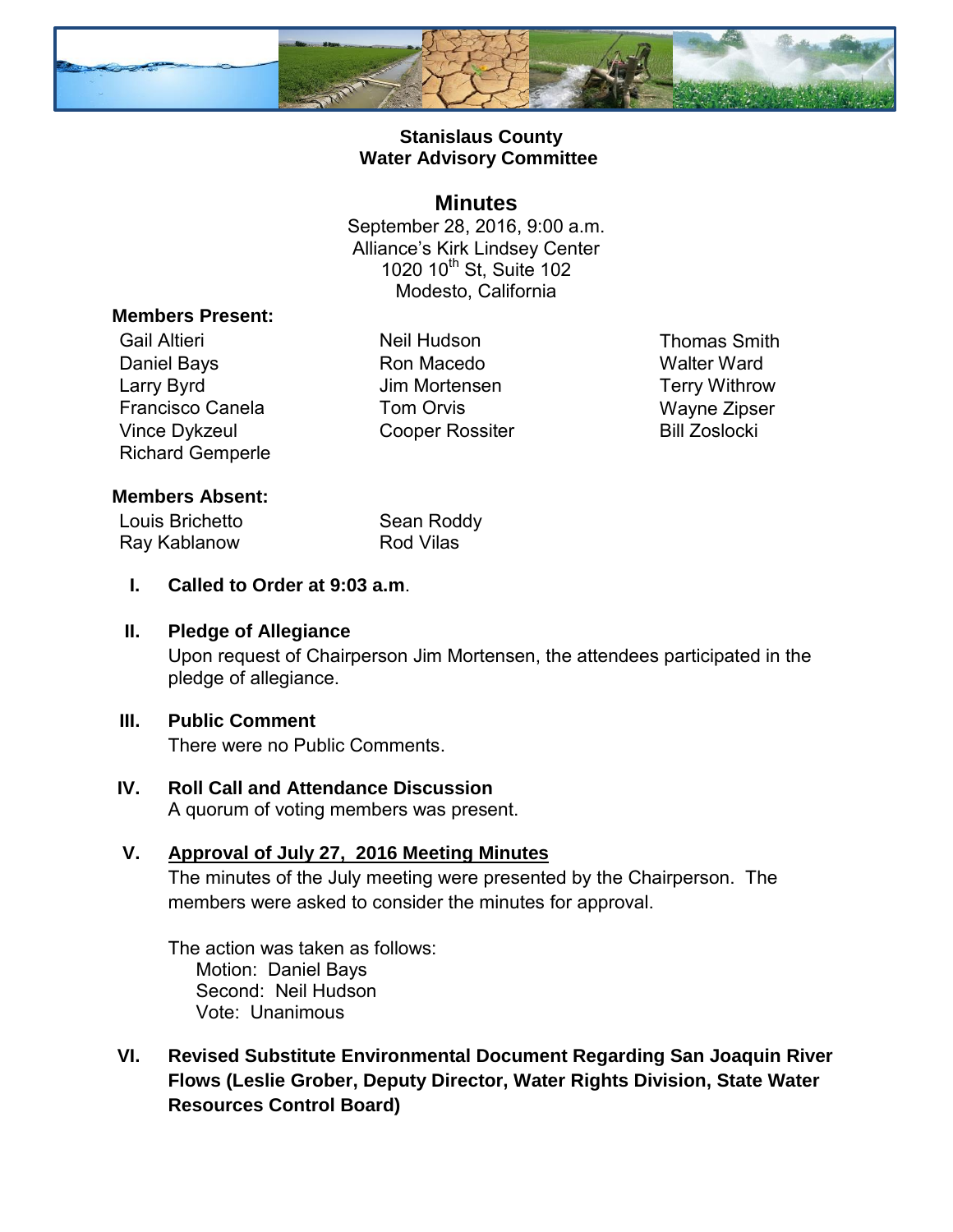

## **Stanislaus County Water Advisory Committee**

#### **Minutes**

September 28, 2016, 9:00 a.m. Alliance's Kirk Lindsey Center 1020 10<sup>th</sup> St, Suite 102 Modesto, California

#### **Members Present:**

Gail Altieri **Neil Hudson** Neil Hudson Thomas Smith Daniel Bays **Ron Macedo** Walter Ward Larry Byrd **Carry Byrd** Jim Mortensen **Terry Withrow** Francisco Canela **Tom Orvis** Tom Orvis Wayne Zipser Vince Dykzeul Cooper Rossiter Bill Zoslocki Richard Gemperle

### **Members Absent:**

Louis Brichetto Sean Roddy Ray Kablanow Rod Vilas

**I. Called to Order at 9:03 a.m**.

### **II. Pledge of Allegiance**

Upon request of Chairperson Jim Mortensen, the attendees participated in the pledge of allegiance.

### **III. Public Comment**

There were no Public Comments.

#### **IV. Roll Call and Attendance Discussion**  A quorum of voting members was present.

# **V. Approval of July 27, 2016 Meeting Minutes**

The minutes of the July meeting were presented by the Chairperson. The members were asked to consider the minutes for approval.

The action was taken as follows: Motion: Daniel Bays Second: Neil Hudson Vote: Unanimous

**VI. Revised Substitute Environmental Document Regarding San Joaquin River Flows (Leslie Grober, Deputy Director, Water Rights Division, State Water Resources Control Board)**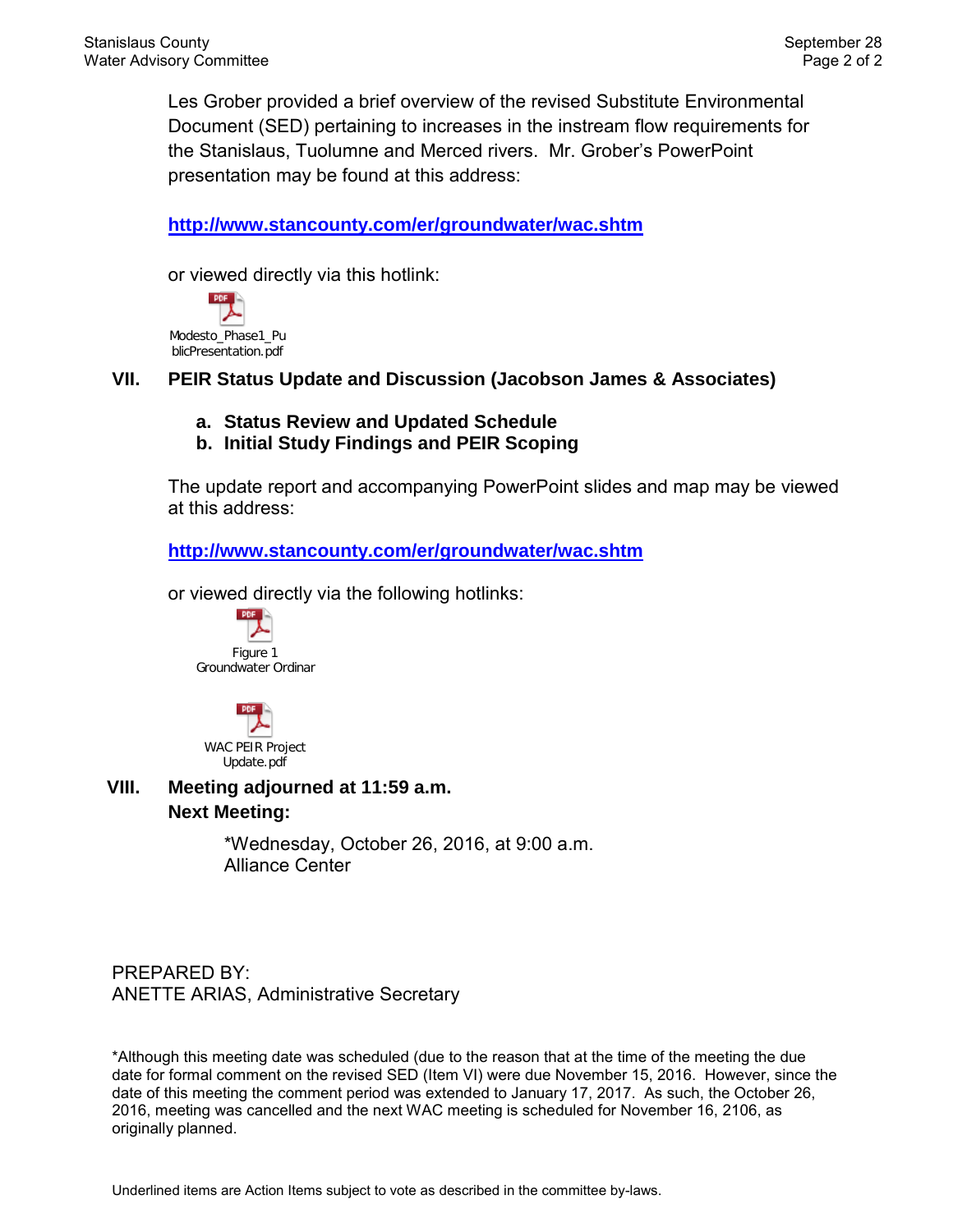Les Grober provided a brief overview of the revised Substitute Environmental Document (SED) pertaining to increases in the instream flow requirements for the Stanislaus, Tuolumne and Merced rivers. Mr. Grober's PowerPoint presentation may be found at this address:

**<http://www.stancounty.com/er/groundwater/wac.shtm>**

or viewed directly via this hotlink:

**PDF** Modesto\_Phase1\_Pu blicPresentation.pdf

**VII. PEIR Status Update and Discussion (Jacobson James & Associates)** 

- **a. Status Review and Updated Schedule**
- **b. Initial Study Findings and PEIR Scoping**

The update report and accompanying PowerPoint slides and map may be viewed at this address:

**<http://www.stancounty.com/er/groundwater/wac.shtm>**

or viewed directly via the following hotlinks:





**VIII. Meeting adjourned at 11:59 a.m. Next Meeting:** 

> \*Wednesday, October 26, 2016, at 9:00 a.m. Alliance Center

PREPARED BY: ANETTE ARIAS, Administrative Secretary

\*Although this meeting date was scheduled (due to the reason that at the time of the meeting the due date for formal comment on the revised SED (Item VI) were due November 15, 2016. However, since the date of this meeting the comment period was extended to January 17, 2017. As such, the October 26, 2016, meeting was cancelled and the next WAC meeting is scheduled for November 16, 2106, as originally planned.

Underlined items are Action Items subject to vote as described in the committee by-laws.